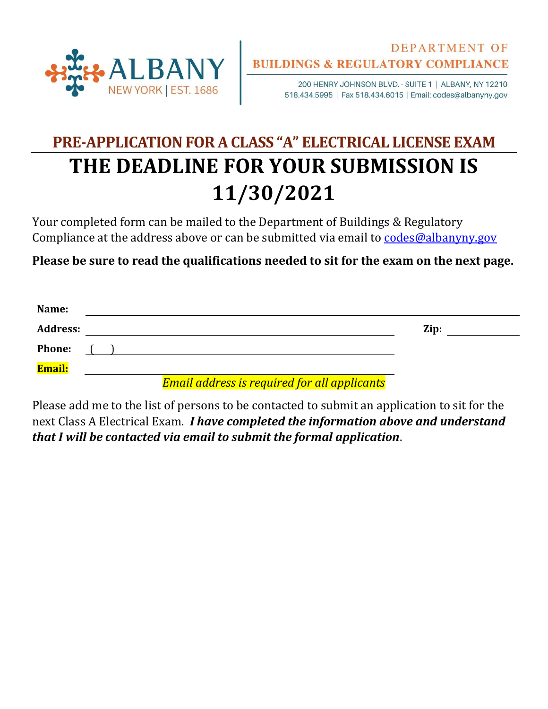

200 HENRY JOHNSON BLVD. - SUITE 1 | ALBANY, NY 12210 518.434.5995 | Fax 518.434.6015 | Email: codes@albanyny.gov

## **PRE-APPLICATION FOR A CLASS "A" ELECTRICAL LICENSE EXAM THE DEADLINE FOR YOUR SUBMISSION IS 11/30/2021**

Your completed form can be mailed to the Department of Buildings & Regulatory Compliance at the address above or can be submitted via email to [codes@albanyny.gov](mailto:codes@albanyny.gov)

**Please be sure to read the qualifications needed to sit for the exam on the next page.**

| Name:           |  |                                                     |      |  |
|-----------------|--|-----------------------------------------------------|------|--|
| <b>Address:</b> |  |                                                     | Zip: |  |
| <b>Phone:</b>   |  |                                                     |      |  |
| <b>Email:</b>   |  |                                                     |      |  |
|                 |  | <b>Email address is required for all applicants</b> |      |  |

Please add me to the list of persons to be contacted to submit an application to sit for the next Class A Electrical Exam. *I have completed the information above and understand that I will be contacted via email to submit the formal application*.